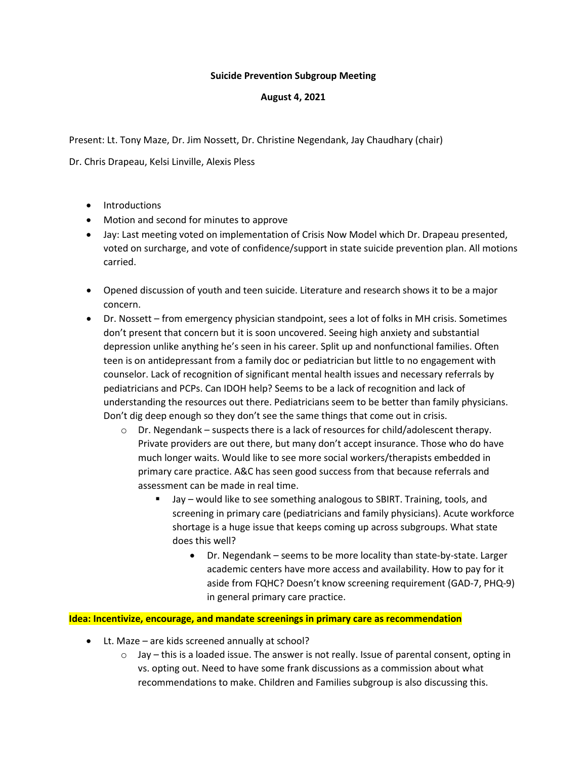## **Suicide Prevention Subgroup Meeting**

## **August 4, 2021**

Present: Lt. Tony Maze, Dr. Jim Nossett, Dr. Christine Negendank, Jay Chaudhary (chair)

Dr. Chris Drapeau, Kelsi Linville, Alexis Pless

- Introductions
- Motion and second for minutes to approve
- Jay: Last meeting voted on implementation of Crisis Now Model which Dr. Drapeau presented, voted on surcharge, and vote of confidence/support in state suicide prevention plan. All motions carried.
- Opened discussion of youth and teen suicide. Literature and research shows it to be a major concern.
- Dr. Nossett from emergency physician standpoint, sees a lot of folks in MH crisis. Sometimes don't present that concern but it is soon uncovered. Seeing high anxiety and substantial depression unlike anything he's seen in his career. Split up and nonfunctional families. Often teen is on antidepressant from a family doc or pediatrician but little to no engagement with counselor. Lack of recognition of significant mental health issues and necessary referrals by pediatricians and PCPs. Can IDOH help? Seems to be a lack of recognition and lack of understanding the resources out there. Pediatricians seem to be better than family physicians. Don't dig deep enough so they don't see the same things that come out in crisis.
	- $\circ$  Dr. Negendank suspects there is a lack of resources for child/adolescent therapy. Private providers are out there, but many don't accept insurance. Those who do have much longer waits. Would like to see more social workers/therapists embedded in primary care practice. A&C has seen good success from that because referrals and assessment can be made in real time.
		- Jay would like to see something analogous to SBIRT. Training, tools, and screening in primary care (pediatricians and family physicians). Acute workforce shortage is a huge issue that keeps coming up across subgroups. What state does this well?
			- Dr. Negendank seems to be more locality than state-by-state. Larger academic centers have more access and availability. How to pay for it aside from FQHC? Doesn't know screening requirement (GAD-7, PHQ-9) in general primary care practice.

**Idea: Incentivize, encourage, and mandate screenings in primary care as recommendation**

- Lt. Maze are kids screened annually at school?
	- $\circ$  Jay this is a loaded issue. The answer is not really. Issue of parental consent, opting in vs. opting out. Need to have some frank discussions as a commission about what recommendations to make. Children and Families subgroup is also discussing this.